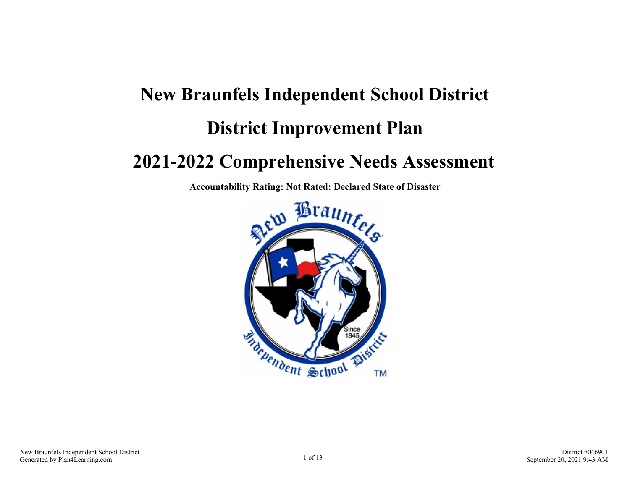# **New Braunfels Independent School District District Improvement Plan 2021-2022 Comprehensive Needs Assessment**

**Accountability Rating: Not Rated: Declared State of Disaster**

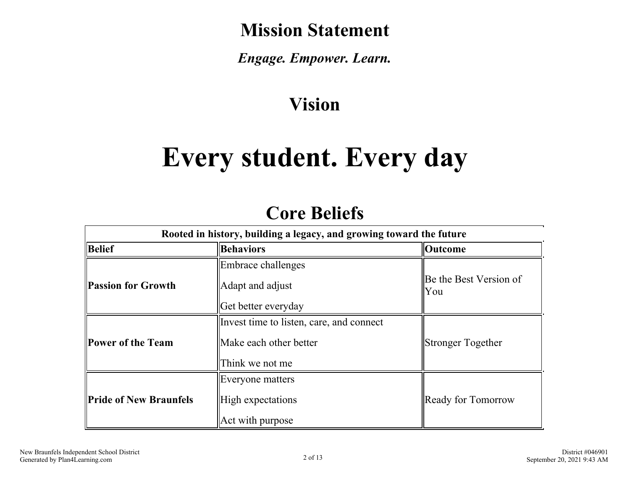# **Mission Statement**

*Engage. Empower. Learn.*

# **Vision**

# **Every student. Every day**

# **Core Beliefs**

| Rooted in history, building a legacy, and growing toward the future |                                                                    |                        |  |
|---------------------------------------------------------------------|--------------------------------------------------------------------|------------------------|--|
| Belief                                                              | <b>Behaviors</b>                                                   | Outcome                |  |
| <b>Passion for Growth</b>                                           | Embrace challenges<br>Adapt and adjust                             | Be the Best Version of |  |
|                                                                     | Get better everyday                                                | You                    |  |
| Power of the Team                                                   | Invest time to listen, care, and connect<br>Make each other better |                        |  |
|                                                                     | Think we not me                                                    | Stronger Together      |  |
|                                                                     | Everyone matters                                                   |                        |  |
| <b>Pride of New Braunfels</b>                                       | High expectations<br>Act with purpose                              | Ready for Tomorrow     |  |
|                                                                     |                                                                    |                        |  |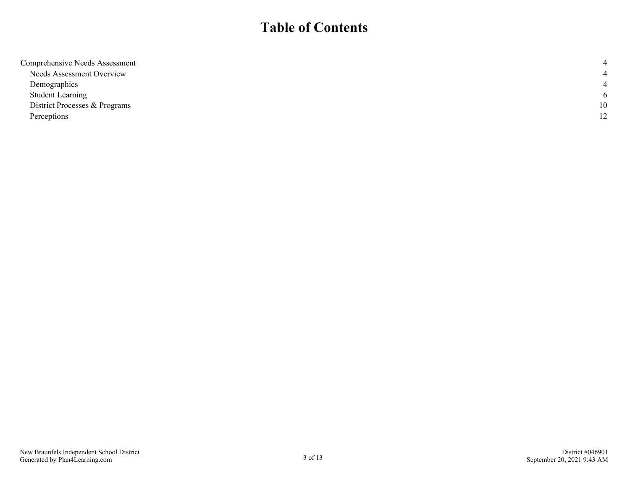## **Table of Contents**

| Comprehensive Needs Assessment |     |
|--------------------------------|-----|
| Needs Assessment Overview      |     |
| Demographics                   |     |
| <b>Student Learning</b>        | - 6 |
| District Processes & Programs  | 10  |
| Perceptions                    | 12  |
|                                |     |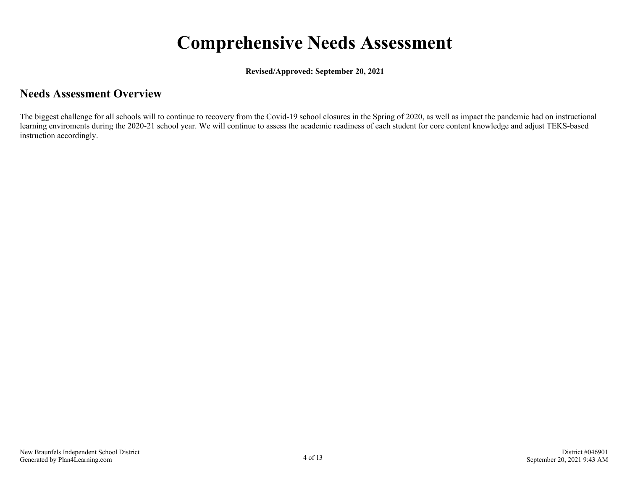# **Comprehensive Needs Assessment**

**Revised/Approved: September 20, 2021**

### <span id="page-3-0"></span>**Needs Assessment Overview**

The biggest challenge for all schools will to continue to recovery from the Covid-19 school closures in the Spring of 2020, as well as impact the pandemic had on instructional learning enviroments during the 2020-21 school year. We will continue to assess the academic readiness of each student for core content knowledge and adjust TEKS-based instruction accordingly.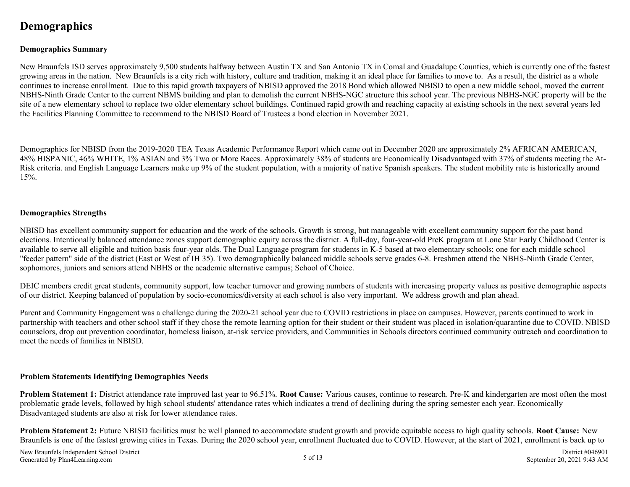## <span id="page-4-0"></span>**Demographics**

#### **Demographics Summary**

New Braunfels ISD serves approximately 9,500 students halfway between Austin TX and San Antonio TX in Comal and Guadalupe Counties, which is currently one of the fastest growing areas in the nation. New Braunfels is a city rich with history, culture and tradition, making it an ideal place for families to move to. As a result, the district as a whole continues to increase enrollment. Due to this rapid growth taxpayers of NBISD approved the 2018 Bond which allowed NBISD to open a new middle school, moved the current NBHS-Ninth Grade Center to the current NBMS building and plan to demolish the current NBHS-NGC structure this school year. The previous NBHS-NGC property will be the site of a new elementary school to replace two older elementary school buildings. Continued rapid growth and reaching capacity at existing schools in the next several years led the Facilities Planning Committee to recommend to the NBISD Board of Trustees a bond election in November 2021.

Demographics for NBISD from the 2019-2020 TEA Texas Academic Performance Report which came out in December 2020 are approximately 2% AFRICAN AMERICAN, 48% HISPANIC, 46% WHITE, 1% ASIAN and 3% Two or More Races. Approximately 38% of students are Economically Disadvantaged with 37% of students meeting the At-Risk criteria. and English Language Learners make up 9% of the student population, with a majority of native Spanish speakers. The student mobility rate is historically around 15%.

#### **Demographics Strengths**

NBISD has excellent community support for education and the work of the schools. Growth is strong, but manageable with excellent community support for the past bond elections. Intentionally balanced attendance zones support demographic equity across the district. A full-day, four-year-old PreK program at Lone Star Early Childhood Center is available to serve all eligible and tuition basis four-year olds. The Dual Language program for students in K-5 based at two elementary schools; one for each middle school "feeder pattern" side of the district (East or West of IH 35). Two demographically balanced middle schools serve grades 6-8. Freshmen attend the NBHS-Ninth Grade Center, sophomores, juniors and seniors attend NBHS or the academic alternative campus; School of Choice.

DEIC members credit great students, community support, low teacher turnover and growing numbers of students with increasing property values as positive demographic aspects of our district. Keeping balanced of population by socio-economics/diversity at each school is also very important. We address growth and plan ahead.

Parent and Community Engagement was a challenge during the 2020-21 school year due to COVID restrictions in place on campuses. However, parents continued to work in partnership with teachers and other school staff if they chose the remote learning option for their student or their student was placed in isolation/quarantine due to COVID. NBISD counselors, drop out prevention coordinator, homeless liaison, at-risk service providers, and Communities in Schools directors continued community outreach and coordination to meet the needs of families in NBISD.

#### **Problem Statements Identifying Demographics Needs**

**Problem Statement 1:** District attendance rate improved last year to 96.51%. **Root Cause:** Various causes, continue to research. Pre-K and kindergarten are most often the most problematic grade levels, followed by high school students' attendance rates which indicates a trend of declining during the spring semester each year. Economically Disadvantaged students are also at risk for lower attendance rates.

**Problem Statement 2:** Future NBISD facilities must be well planned to accommodate student growth and provide equitable access to high quality schools. **Root Cause:** New Braunfels is one of the fastest growing cities in Texas. During the 2020 school year, enrollment fluctuated due to COVID. However, at the start of 2021, enrollment is back up to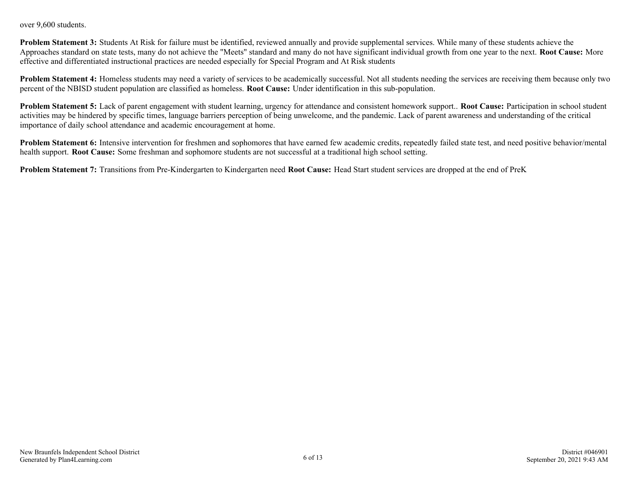over 9,600 students.

**Problem Statement 3:** Students At Risk for failure must be identified, reviewed annually and provide supplemental services. While many of these students achieve the Approaches standard on state tests, many do not achieve the "Meets" standard and many do not have significant individual growth from one year to the next. **Root Cause:** More effective and differentiated instructional practices are needed especially for Special Program and At Risk students

**Problem Statement 4:** Homeless students may need a variety of services to be academically successful. Not all students needing the services are receiving them because only two percent of the NBISD student population are classified as homeless. **Root Cause:** Under identification in this sub-population.

**Problem Statement 5:** Lack of parent engagement with student learning, urgency for attendance and consistent homework support.. **Root Cause:** Participation in school student activities may be hindered by specific times, language barriers perception of being unwelcome, and the pandemic. Lack of parent awareness and understanding of the critical importance of daily school attendance and academic encouragement at home.

**Problem Statement 6:** Intensive intervention for freshmen and sophomores that have earned few academic credits, repeatedly failed state test, and need positive behavior/mental health support. **Root Cause:** Some freshman and sophomore students are not successful at a traditional high school setting.

**Problem Statement 7:** Transitions from Pre-Kindergarten to Kindergarten need **Root Cause:** Head Start student services are dropped at the end of PreK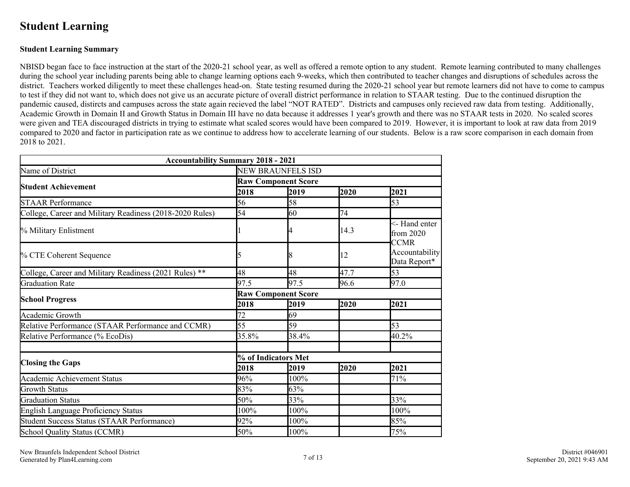## <span id="page-6-0"></span>**Student Learning**

#### **Student Learning Summary**

NBISD began face to face instruction at the start of the 2020-21 school year, as well as offered a remote option to any student. Remote learning contributed to many challenges during the school year including parents being able to change learning options each 9-weeks, which then contributed to teacher changes and disruptions of schedules across the district. Teachers worked diligently to meet these challenges head-on. State testing resumed during the 2020-21 school year but remote learners did not have to come to campus to test if they did not want to, which does not give us an accurate picture of overall district performance in relation to STAAR testing. Due to the continued disruption the pandemic caused, distircts and campuses across the state again recieved the label "NOT RATED". Districts and campuses only recieved raw data from testing. Additionally, Academic Growth in Domain II and Growth Status in Domain III have no data because it addresses 1 year's growth and there was no STAAR tests in 2020. No scaled scores were given and TEA discouraged districts in trying to estimate what scaled scores would have been compared to 2019. However, it is important to look at raw data from 2019 compared to 2020 and factor in participation rate as we continue to address how to accelerate learning of our students. Below is a raw score comparison in each domain from 2018 to 2021.

| <b>Accountability Summary 2018 - 2021</b>                |                            |       |      |                                      |
|----------------------------------------------------------|----------------------------|-------|------|--------------------------------------|
| Name of District                                         | <b>NEW BRAUNFELS ISD</b>   |       |      |                                      |
|                                                          | <b>Raw Component Score</b> |       |      |                                      |
| <b>Student Achievement</b>                               | 2018                       | 2019  | 2020 | 2021                                 |
| <b>STAAR Performance</b>                                 | 56                         | 58    |      | 53                                   |
| College, Career and Military Readiness (2018-2020 Rules) | 54                         | 60    | 74   |                                      |
| % Military Enlistment                                    |                            |       | 14.3 | <- Hand enter<br>from $2020$<br>CCMR |
| % CTE Coherent Sequence                                  |                            | 8     | 12   | Accountability<br>Data Report*       |
| College, Career and Military Readiness (2021 Rules) **   | 48                         | 48    | 47.7 | 53                                   |
| <b>Graduation Rate</b>                                   | 97.5                       | 97.5  | 96.6 | 97.0                                 |
|                                                          | <b>Raw Component Score</b> |       |      |                                      |
| <b>School Progress</b>                                   | 2018                       | 2019  | 2020 | 2021                                 |
| Academic Growth                                          | 72                         | 69    |      |                                      |
| Relative Performance (STAAR Performance and CCMR)        | 55                         | 59    |      | 53                                   |
| Relative Performance (% EcoDis)                          | 35.8%                      | 38.4% |      | 40.2%                                |
| <b>Closing the Gaps</b>                                  | % of Indicators Met        |       |      |                                      |
|                                                          | 2018                       | 2019  | 2020 | 2021                                 |
| <b>Academic Achievement Status</b>                       | 96%                        | 100%  |      | 71%                                  |
| Growth Status                                            | 83%                        | 63%   |      |                                      |
| Graduation Status                                        | 50%                        | 33%   |      | 33%                                  |
| English Language Proficiency Status                      | 100%                       | 100%  |      | 100%                                 |
| Student Success Status (STAAR Performance)               | 92%                        | 100%  |      | 85%                                  |
| School Quality Status (CCMR)                             | 50%                        | 100%  |      | 75%                                  |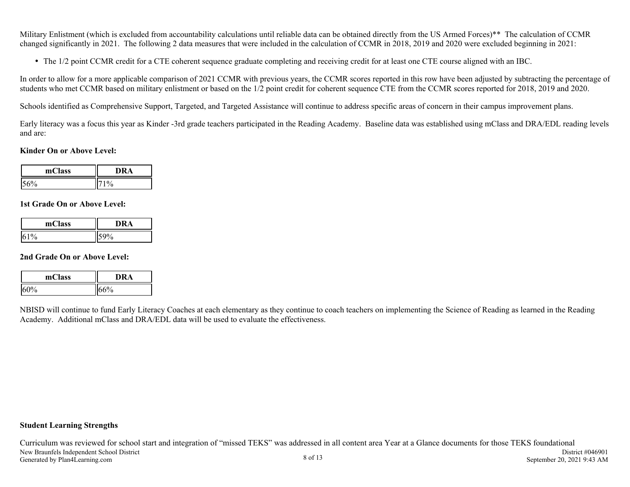Military Enlistment (which is excluded from accountability calculations until reliable data can be obtained directly from the US Armed Forces)<sup>\*\*</sup> The calculation of CCMR changed significantly in 2021. The following 2 data measures that were included in the calculation of CCMR in 2018, 2019 and 2020 were excluded beginning in 2021:

The 1/2 point CCMR credit for a CTE coherent sequence graduate completing and receiving credit for at least one CTE course aligned with an IBC.

In order to allow for a more applicable comparison of 2021 CCMR with previous years, the CCMR scores reported in this row have been adjusted by subtracting the percentage of students who met CCMR based on military enlistment or based on the 1/2 point credit for coherent sequence CTE from the CCMR scores reported for 2018, 2019 and 2020.

Schools identified as Comprehensive Support, Targeted, and Targeted Assistance will continue to address specific areas of concern in their campus improvement plans.

Early literacy was a focus this year as Kinder -3rd grade teachers participated in the Reading Academy. Baseline data was established using mClass and DRA/EDL reading levels and are:

#### **Kinder On or Above Level:**

| mClass | Δ |  |
|--------|---|--|
| υ      |   |  |

#### **1st Grade On or Above Level:**

| mClass    | ١R.<br>'А |
|-----------|-----------|
| 1%<br>16. | 70        |

#### **2nd Grade On or Above Level:**

| mClass         | ЗA            |  |
|----------------|---------------|--|
| $\frac{10}{6}$ | $\frac{1}{2}$ |  |

NBISD will continue to fund Early Literacy Coaches at each elementary as they continue to coach teachers on implementing the Science of Reading as learned in the Reading Academy. Additional mClass and DRA/EDL data will be used to evaluate the effectiveness.

#### **Student Learning Strengths**

Curriculum was reviewed for school start and integration of "missed TEKS" was addressed in all content area Year at a Glance documents for those TEKS foundational New Braunfels Independent School District Generated by Plan4Learning.com 8 of 13 District #046901 September 20, 2021 9:43 AM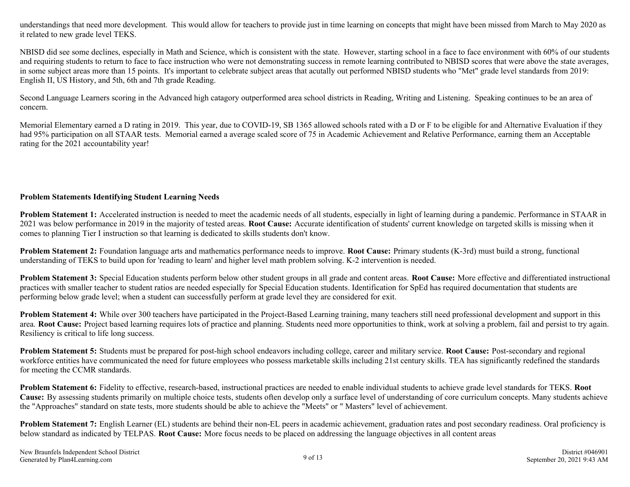understandings that need more development. This would allow for teachers to provide just in time learning on concepts that might have been missed from March to May 2020 as it related to new grade level TEKS.

NBISD did see some declines, especially in Math and Science, which is consistent with the state. However, starting school in a face to face environment with 60% of our students and requiring students to return to face to face instruction who were not demonstrating success in remote learning contributed to NBISD scores that were above the state averages, in some subject areas more than 15 points. It's important to celebrate subject areas that acutally out performed NBISD students who "Met" grade level standards from 2019: English II, US History, and 5th, 6th and 7th grade Reading.

Second Language Learners scoring in the Advanced high catagory outperformed area school districts in Reading, Writing and Listening. Speaking continues to be an area of concern.

Memorial Elementary earned a D rating in 2019. This year, due to COVID-19, SB 1365 allowed schools rated with a D or F to be eligible for and Alternative Evaluation if they had 95% participation on all STAAR tests. Memorial earned a average scaled score of 75 in Academic Achievement and Relative Performance, earning them an Acceptable rating for the 2021 accountability year!

#### **Problem Statements Identifying Student Learning Needs**

**Problem Statement 1:** Accelerated instruction is needed to meet the academic needs of all students, especially in light of learning during a pandemic. Performance in STAAR in 2021 was below performance in 2019 in the majority of tested areas. **Root Cause:** Accurate identification of students' current knowledge on targeted skills is missing when it comes to planning Tier I instruction so that learning is dedicated to skills students don't know.

**Problem Statement 2:** Foundation language arts and mathematics performance needs to improve. **Root Cause:** Primary students (K-3rd) must build a strong, functional understanding of TEKS to build upon for 'reading to learn' and higher level math problem solving. K-2 intervention is needed.

**Problem Statement 3:** Special Education students perform below other student groups in all grade and content areas. **Root Cause:** More effective and differentiated instructional practices with smaller teacher to student ratios are needed especially for Special Education students. Identification for SpEd has required documentation that students are performing below grade level; when a student can successfully perform at grade level they are considered for exit.

**Problem Statement 4:** While over 300 teachers have participated in the Project-Based Learning training, many teachers still need professional development and support in this area. **Root Cause:** Project based learning requires lots of practice and planning. Students need more opportunities to think, work at solving a problem, fail and persist to try again. Resiliency is critical to life long success.

**Problem Statement 5:** Students must be prepared for post-high school endeavors including college, career and military service. **Root Cause:** Post-secondary and regional workforce entities have communicated the need for future employees who possess marketable skills including 21st century skills. TEA has significantly redefined the standards for meeting the CCMR standards.

**Problem Statement 6:** Fidelity to effective, research-based, instructional practices are needed to enable individual students to achieve grade level standards for TEKS. **Root Cause:** By assessing students primarily on multiple choice tests, students often develop only a surface level of understanding of core curriculum concepts. Many students achieve the "Approaches" standard on state tests, more students should be able to achieve the "Meets" or " Masters" level of achievement.

**Problem Statement 7:** English Learner (EL) students are behind their non-EL peers in academic achievement, graduation rates and post secondary readiness. Oral proficiency is below standard as indicated by TELPAS. **Root Cause:** More focus needs to be placed on addressing the language objectives in all content areas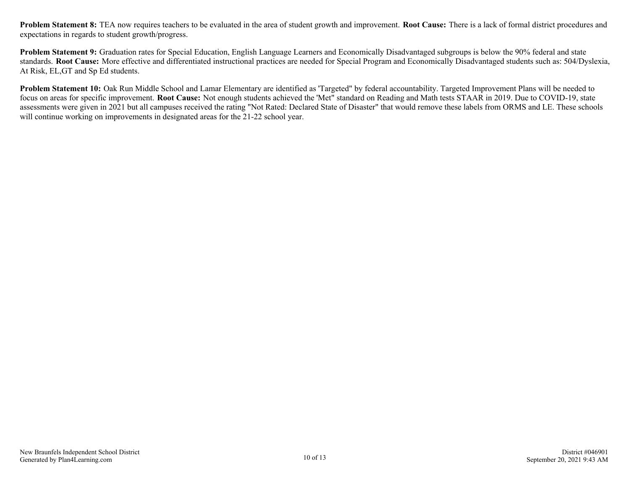**Problem Statement 8:** TEA now requires teachers to be evaluated in the area of student growth and improvement. **Root Cause:** There is a lack of formal district procedures and expectations in regards to student growth/progress.

**Problem Statement 9:** Graduation rates for Special Education, English Language Learners and Economically Disadvantaged subgroups is below the 90% federal and state standards. **Root Cause:** More effective and differentiated instructional practices are needed for Special Program and Economically Disadvantaged students such as: 504/Dyslexia, At Risk, EL,GT and Sp Ed students.

**Problem Statement 10:** Oak Run Middle School and Lamar Elementary are identified as 'Targeted" by federal accountability. Targeted Improvement Plans will be needed to focus on areas for specific improvement. **Root Cause:** Not enough students achieved the 'Met" standard on Reading and Math tests STAAR in 2019. Due to COVID-19, state assessments were given in 2021 but all campuses received the rating "Not Rated: Declared State of Disaster" that would remove these labels from ORMS and LE. These schools will continue working on improvements in designated areas for the 21-22 school year.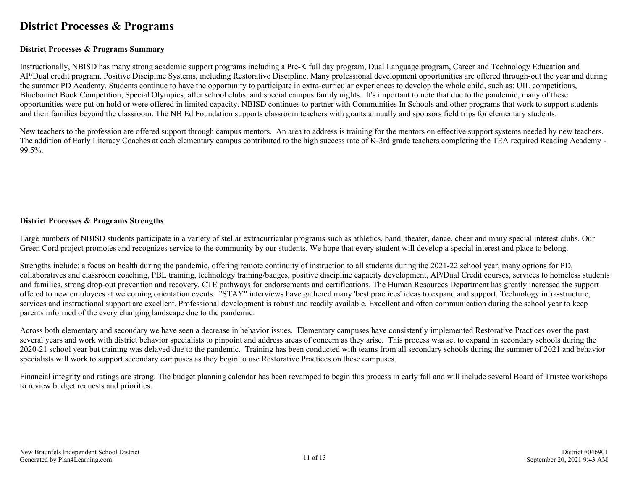### <span id="page-10-0"></span>**District Processes & Programs**

#### **District Processes & Programs Summary**

Instructionally, NBISD has many strong academic support programs including a Pre-K full day program, Dual Language program, Career and Technology Education and AP/Dual credit program. Positive Discipline Systems, including Restorative Discipline. Many professional development opportunities are offered through-out the year and during the summer PD Academy. Students continue to have the opportunity to participate in extra-curricular experiences to develop the whole child, such as: UIL competitions, Bluebonnet Book Competition, Special Olympics, after school clubs, and special campus family nights. It's important to note that due to the pandemic, many of these opportunities were put on hold or were offered in limited capacity. NBISD continues to partner with Communities In Schools and other programs that work to support students and their families beyond the classroom. The NB Ed Foundation supports classroom teachers with grants annually and sponsors field trips for elementary students.

New teachers to the profession are offered support through campus mentors. An area to address is training for the mentors on effective support systems needed by new teachers. The addition of Early Literacy Coaches at each elementary campus contributed to the high success rate of K-3rd grade teachers completing the TEA required Reading Academy - 99.5%.

#### **District Processes & Programs Strengths**

Large numbers of NBISD students participate in a variety of stellar extracurricular programs such as athletics, band, theater, dance, cheer and many special interest clubs. Our Green Cord project promotes and recognizes service to the community by our students. We hope that every student will develop a special interest and place to belong.

Strengths include: a focus on health during the pandemic, offering remote continuity of instruction to all students during the 2021-22 school year, many options for PD, collaboratives and classroom coaching, PBL training, technology training/badges, positive discipline capacity development, AP/Dual Credit courses, services to homeless students and families, strong drop-out prevention and recovery, CTE pathways for endorsements and certifications. The Human Resources Department has greatly increased the support offered to new employees at welcoming orientation events. "STAY" interviews have gathered many 'best practices' ideas to expand and support. Technology infra-structure, services and instructional support are excellent. Professional development is robust and readily available. Excellent and often communication during the school year to keep parents informed of the every changing landscape due to the pandemic.

Across both elementary and secondary we have seen a decrease in behavior issues. Elementary campuses have consistently implemented Restorative Practices over the past several years and work with district behavior specialists to pinpoint and address areas of concern as they arise. This process was set to expand in secondary schools during the 2020-21 school year but training was delayed due to the pandemic. Training has been conducted with teams from all secondary schools during the summer of 2021 and behavior specialists will work to support secondary campuses as they begin to use Restorative Practices on these campuses.

Financial integrity and ratings are strong. The budget planning calendar has been revamped to begin this process in early fall and will include several Board of Trustee workshops to review budget requests and priorities.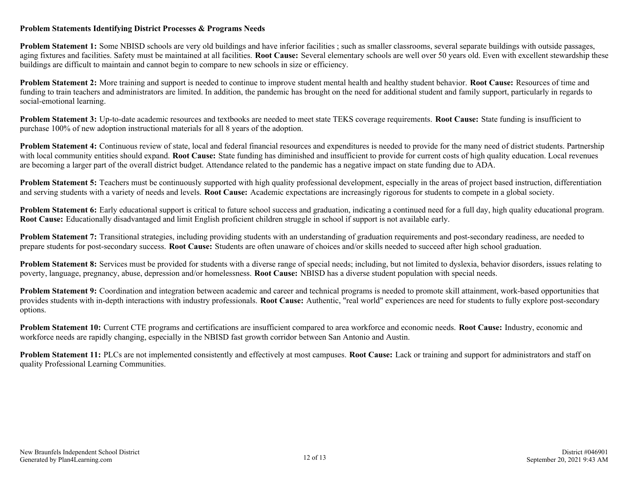#### **Problem Statements Identifying District Processes & Programs Needs**

**Problem Statement 1:** Some NBISD schools are very old buildings and have inferior facilities; such as smaller classrooms, several separate buildings with outside passages, aging fixtures and facilities. Safety must be maintained at all facilities. **Root Cause:** Several elementary schools are well over 50 years old. Even with excellent stewardship these buildings are difficult to maintain and cannot begin to compare to new schools in size or efficiency.

**Problem Statement 2:** More training and support is needed to continue to improve student mental health and healthy student behavior. **Root Cause:** Resources of time and funding to train teachers and administrators are limited. In addition, the pandemic has brought on the need for additional student and family support, particularly in regards to social-emotional learning.

**Problem Statement 3:** Up-to-date academic resources and textbooks are needed to meet state TEKS coverage requirements. **Root Cause:** State funding is insufficient to purchase 100% of new adoption instructional materials for all 8 years of the adoption.

**Problem Statement 4:** Continuous review of state, local and federal financial resources and expenditures is needed to provide for the many need of district students. Partnership with local community entities should expand. **Root Cause:** State funding has diminished and insufficient to provide for current costs of high quality education. Local revenues are becoming a larger part of the overall district budget. Attendance related to the pandemic has a negative impact on state funding due to ADA.

**Problem Statement 5:** Teachers must be continuously supported with high quality professional development, especially in the areas of project based instruction, differentiation and serving students with a variety of needs and levels. **Root Cause:** Academic expectations are increasingly rigorous for students to compete in a global society.

**Problem Statement 6:** Early educational support is critical to future school success and graduation, indicating a continued need for a full day, high quality educational program. **Root Cause:** Educationally disadvantaged and limit English proficient children struggle in school if support is not available early.

**Problem Statement 7:** Transitional strategies, including providing students with an understanding of graduation requirements and post-secondary readiness, are needed to prepare students for post-secondary success. **Root Cause:** Students are often unaware of choices and/or skills needed to succeed after high school graduation.

**Problem Statement 8:** Services must be provided for students with a diverse range of special needs; including, but not limited to dyslexia, behavior disorders, issues relating to poverty, language, pregnancy, abuse, depression and/or homelessness. **Root Cause:** NBISD has a diverse student population with special needs.

**Problem Statement 9:** Coordination and integration between academic and career and technical programs is needed to promote skill attainment, work-based opportunities that provides students with in-depth interactions with industry professionals. **Root Cause:** Authentic, "real world" experiences are need for students to fully explore post-secondary options.

**Problem Statement 10:** Current CTE programs and certifications are insufficient compared to area workforce and economic needs. **Root Cause:** Industry, economic and workforce needs are rapidly changing, especially in the NBISD fast growth corridor between San Antonio and Austin.

**Problem Statement 11:** PLCs are not implemented consistently and effectively at most campuses. **Root Cause:** Lack or training and support for administrators and staff on quality Professional Learning Communities.